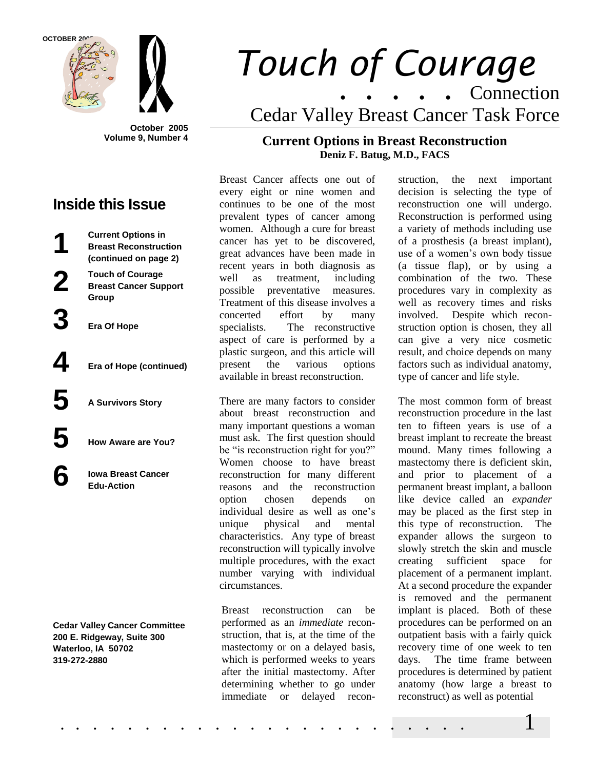**OCTOBER 2005**

**1**

**2**

**6**





**October 2005 Volume 9, Number 4**

# **Inside this Issue**

**Current Options in Breast Reconstruction (continued on page 2)**

**Touch of Courage Breast Cancer Support Group**

**3 Era Of Hope**

**4 Era of Hope (continued)**

**5 A Survivors Story**

**5 How Aware are You?**

**Iowa Breast Cancer Edu-Action**

**Cedar Valley Cancer Committee 200 E. Ridgeway, Suite 300 Waterloo, IA 50702 319-272-2880**

# *Touch of Courage* . . . . . Connection Cedar Valley Breast Cancer Task Force

# **Current Options in Breast Reconstruction Deniz F. Batug, M.D., FACS**

Breast Cancer affects one out of every eight or nine women and continues to be one of the most prevalent types of cancer among women. Although a cure for breast cancer has yet to be discovered, great advances have been made in recent years in both diagnosis as well as treatment, including possible preventative measures. Treatment of this disease involves a concerted effort by many specialists. The reconstructive aspect of care is performed by a plastic surgeon, and this article will present the various options available in breast reconstruction.

There are many factors to consider about breast reconstruction and many important questions a woman must ask. The first question should be "is reconstruction right for you?" Women choose to have breast reconstruction for many different reasons and the reconstruction option chosen depends on individual desire as well as one's unique physical and mental characteristics. Any type of breast reconstruction will typically involve multiple procedures, with the exact number varying with individual circumstances.

Breast reconstruction can be performed as an *immediate* reconstruction, that is, at the time of the mastectomy or on a delayed basis, which is performed weeks to years after the initial mastectomy. After determining whether to go under immediate or delayed recon-

struction, the next important decision is selecting the type of reconstruction one will undergo. Reconstruction is performed using a variety of methods including use of a prosthesis (a breast implant), use of a women's own body tissue (a tissue flap), or by using a combination of the two. These procedures vary in complexity as well as recovery times and risks involved. Despite which reconstruction option is chosen, they all can give a very nice cosmetic result, and choice depends on many factors such as individual anatomy, type of cancer and life style.

The most common form of breast reconstruction procedure in the last ten to fifteen years is use of a breast implant to recreate the breast mound. Many times following a mastectomy there is deficient skin, and prior to placement of a permanent breast implant, a balloon like device called an *expander* may be placed as the first step in this type of reconstruction. The expander allows the surgeon to slowly stretch the skin and muscle creating sufficient space for placement of a permanent implant. At a second procedure the expander is removed and the permanent implant is placed. Both of these procedures can be performed on an outpatient basis with a fairly quick recovery time of one week to ten days. The time frame between procedures is determined by patient anatomy (how large a breast to reconstruct) as well as potential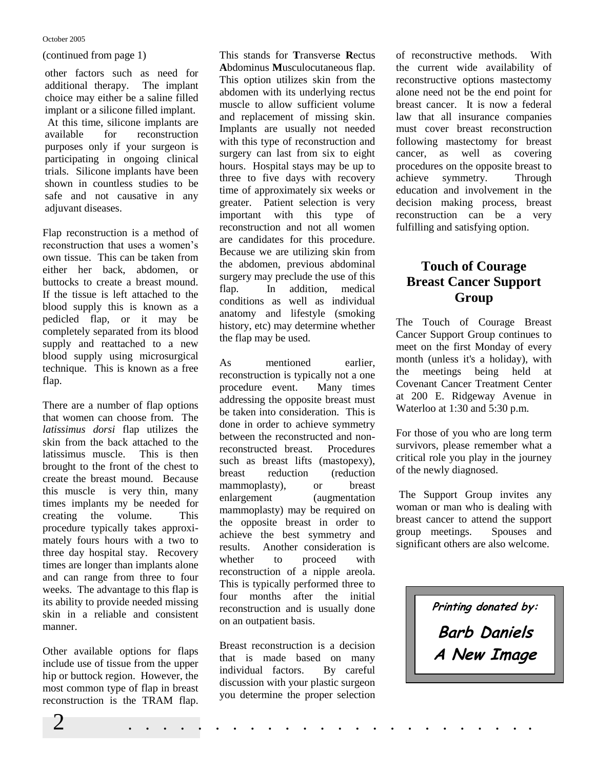#### October 2005

(continued from page 1)

other factors such as need for additional therapy. The implant choice may either be a saline filled implant or a silicone filled implant. At this time, silicone implants are available for reconstruction purposes only if your surgeon is participating in ongoing clinical trials. Silicone implants have been shown in countless studies to be safe and not causative in any adjuvant diseases.

Flap reconstruction is a method of reconstruction that uses a women's own tissue. This can be taken from either her back, abdomen, or buttocks to create a breast mound. If the tissue is left attached to the blood supply this is known as a pedicled flap, or it may be completely separated from its blood supply and reattached to a new blood supply using microsurgical technique. This is known as a free flap.

There are a number of flap options that women can choose from. The *latissimus dorsi* flap utilizes the skin from the back attached to the latissimus muscle. This is then brought to the front of the chest to create the breast mound. Because this muscle is very thin, many times implants my be needed for creating the volume. This procedure typically takes approximately fours hours with a two to three day hospital stay. Recovery times are longer than implants alone and can range from three to four weeks. The advantage to this flap is its ability to provide needed missing skin in a reliable and consistent manner.

Other available options for flaps include use of tissue from the upper hip or buttock region. However, the most common type of flap in breast reconstruction is the TRAM flap.

This stands for **T**ransverse **R**ectus **A**bdominus **M**usculocutaneous flap. This option utilizes skin from the abdomen with its underlying rectus muscle to allow sufficient volume and replacement of missing skin. Implants are usually not needed with this type of reconstruction and surgery can last from six to eight hours. Hospital stays may be up to three to five days with recovery time of approximately six weeks or greater. Patient selection is very important with this type of reconstruction and not all women are candidates for this procedure. Because we are utilizing skin from the abdomen, previous abdominal surgery may preclude the use of this flap. In addition, medical conditions as well as individual anatomy and lifestyle (smoking history, etc) may determine whether the flap may be used.

As mentioned earlier, reconstruction is typically not a one procedure event. Many times addressing the opposite breast must be taken into consideration. This is done in order to achieve symmetry between the reconstructed and nonreconstructed breast. Procedures such as breast lifts (mastopexy), breast reduction (reduction mammoplasty), or breast enlargement (augmentation mammoplasty) may be required on the opposite breast in order to achieve the best symmetry and results. Another consideration is whether to proceed with reconstruction of a nipple areola. This is typically performed three to four months after the initial reconstruction and is usually done on an outpatient basis.

Breast reconstruction is a decision that is made based on many individual factors. By careful discussion with your plastic surgeon you determine the proper selection

of reconstructive methods. With the current wide availability of reconstructive options mastectomy alone need not be the end point for breast cancer. It is now a federal law that all insurance companies must cover breast reconstruction following mastectomy for breast cancer, as well as covering procedures on the opposite breast to achieve symmetry. Through education and involvement in the decision making process, breast reconstruction can be a very fulfilling and satisfying option.

# **Touch of Courage Breast Cancer Support Group**

The Touch of Courage Breast Cancer Support Group continues to meet on the first Monday of every month (unless it's a holiday), with the meetings being held at Covenant Cancer Treatment Center at 200 E. Ridgeway Avenue in Waterloo at 1:30 and 5:30 p.m.

For those of you who are long term survivors, please remember what a critical role you play in the journey of the newly diagnosed.

The Support Group invites any woman or man who is dealing with breast cancer to attend the support group meetings. Spouses and significant others are also welcome.

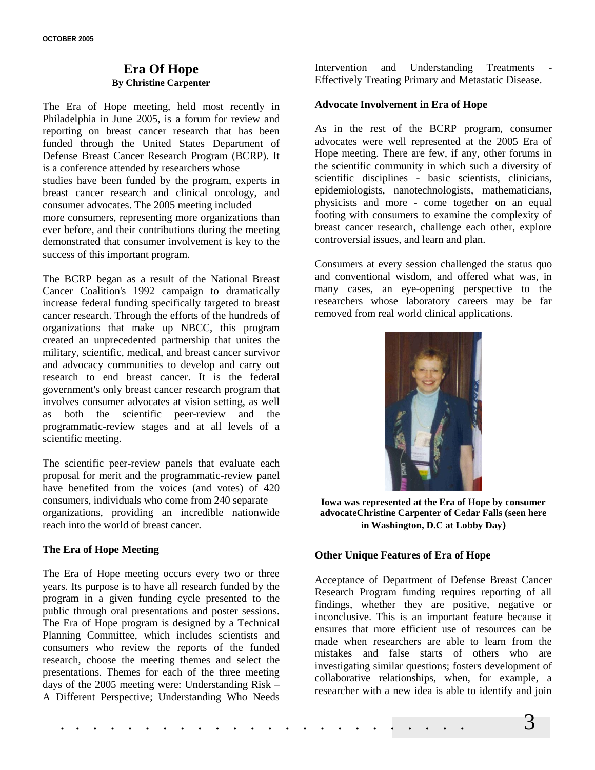# **Era Of Hope By Christine Carpenter**

The Era of Hope meeting, held most recently in Philadelphia in June 2005, is a forum for review and reporting on breast cancer research that has been funded through the United States Department of Defense Breast Cancer Research Program (BCRP). It is a conference attended by researchers whose studies have been funded by the program, experts in

breast cancer research and clinical oncology, and consumer advocates. The 2005 meeting included

more consumers, representing more organizations than ever before, and their contributions during the meeting demonstrated that consumer involvement is key to the success of this important program.

The BCRP began as a result of the National Breast Cancer Coalition's 1992 campaign to dramatically increase federal funding specifically targeted to breast cancer research. Through the efforts of the hundreds of organizations that make up NBCC, this program created an unprecedented partnership that unites the military, scientific, medical, and breast cancer survivor and advocacy communities to develop and carry out research to end breast cancer. It is the federal government's only breast cancer research program that involves consumer advocates at vision setting, as well as both the scientific peer-review and the programmatic-review stages and at all levels of a scientific meeting.

The scientific peer-review panels that evaluate each proposal for merit and the programmatic-review panel have benefited from the voices (and votes) of 420 consumers, individuals who come from 240 separate organizations, providing an incredible nationwide reach into the world of breast cancer.

# **The Era of Hope Meeting**

The Era of Hope meeting occurs every two or three years. Its purpose is to have all research funded by the program in a given funding cycle presented to the public through oral presentations and poster sessions. The Era of Hope program is designed by a Technical Planning Committee, which includes scientists and consumers who review the reports of the funded research, choose the meeting themes and select the presentations. Themes for each of the three meeting days of the 2005 meeting were: Understanding Risk – A Different Perspective; Understanding Who Needs

Intervention and Understanding Treatments Effectively Treating Primary and Metastatic Disease.

#### **Advocate Involvement in Era of Hope**

As in the rest of the BCRP program, consumer advocates were well represented at the 2005 Era of Hope meeting. There are few, if any, other forums in the scientific community in which such a diversity of scientific disciplines - basic scientists, clinicians, epidemiologists, nanotechnologists, mathematicians, physicists and more - come together on an equal footing with consumers to examine the complexity of breast cancer research, challenge each other, explore controversial issues, and learn and plan.

Consumers at every session challenged the status quo and conventional wisdom, and offered what was, in many cases, an eye-opening perspective to the researchers whose laboratory careers may be far removed from real world clinical applications.



**Iowa was represented at the Era of Hope by consumer advocateChristine Carpenter of Cedar Falls (seen here in Washington, D.C at Lobby Day)** 

#### **Other Unique Features of Era of Hope**

Acceptance of Department of Defense Breast Cancer Research Program funding requires reporting of all findings, whether they are positive, negative or inconclusive. This is an important feature because it ensures that more efficient use of resources can be made when researchers are able to learn from the mistakes and false starts of others who are investigating similar questions; fosters development of collaborative relationships, when, for example, a researcher with a new idea is able to identify and join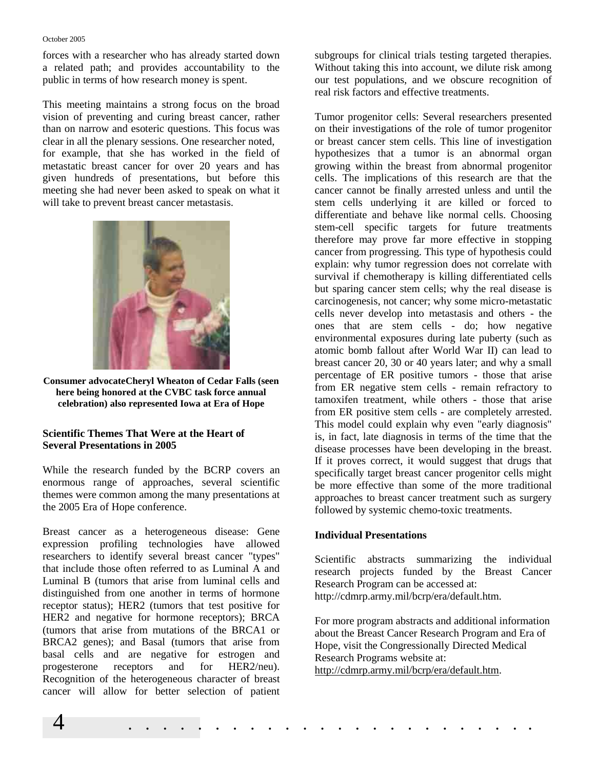#### October 2005

forces with a researcher who has already started down a related path; and provides accountability to the public in terms of how research money is spent.

This meeting maintains a strong focus on the broad vision of preventing and curing breast cancer, rather than on narrow and esoteric questions. This focus was clear in all the plenary sessions. One researcher noted, for example, that she has worked in the field of metastatic breast cancer for over 20 years and has given hundreds of presentations, but before this meeting she had never been asked to speak on what it will take to prevent breast cancer metastasis.



**Consumer advocateCheryl Wheaton of Cedar Falls (seen here being honored at the CVBC task force annual celebration) also represented Iowa at Era of Hope**

## **Scientific Themes That Were at the Heart of Several Presentations in 2005**

While the research funded by the BCRP covers an enormous range of approaches, several scientific themes were common among the many presentations at the 2005 Era of Hope conference.

Breast cancer as a heterogeneous disease: Gene expression profiling technologies have allowed researchers to identify several breast cancer "types" that include those often referred to as Luminal A and Luminal B (tumors that arise from luminal cells and distinguished from one another in terms of hormone receptor status); HER2 (tumors that test positive for HER2 and negative for hormone receptors); BRCA (tumors that arise from mutations of the BRCA1 or BRCA2 genes); and Basal (tumors that arise from basal cells and are negative for estrogen and progesterone receptors and for HER2/neu). Recognition of the heterogeneous character of breast cancer will allow for better selection of patient

subgroups for clinical trials testing targeted therapies. Without taking this into account, we dilute risk among our test populations, and we obscure recognition of real risk factors and effective treatments.

Tumor progenitor cells: Several researchers presented on their investigations of the role of tumor progenitor or breast cancer stem cells. This line of investigation hypothesizes that a tumor is an abnormal organ growing within the breast from abnormal progenitor cells. The implications of this research are that the cancer cannot be finally arrested unless and until the stem cells underlying it are killed or forced to differentiate and behave like normal cells. Choosing stem-cell specific targets for future treatments therefore may prove far more effective in stopping cancer from progressing. This type of hypothesis could explain: why tumor regression does not correlate with survival if chemotherapy is killing differentiated cells but sparing cancer stem cells; why the real disease is carcinogenesis, not cancer; why some micro-metastatic cells never develop into metastasis and others - the ones that are stem cells - do; how negative environmental exposures during late puberty (such as atomic bomb fallout after World War II) can lead to breast cancer 20, 30 or 40 years later; and why a small percentage of ER positive tumors - those that arise from ER negative stem cells - remain refractory to tamoxifen treatment, while others - those that arise from ER positive stem cells - are completely arrested. This model could explain why even "early diagnosis" is, in fact, late diagnosis in terms of the time that the disease processes have been developing in the breast. If it proves correct, it would suggest that drugs that specifically target breast cancer progenitor cells might be more effective than some of the more traditional approaches to breast cancer treatment such as surgery followed by systemic chemo-toxic treatments.

## **Individual Presentations**

Scientific abstracts summarizing the individual research projects funded by the Breast Cancer Research Program can be accessed at: http://cdmrp.army.mil/bcrp/era/default.htm.

For more program abstracts and additional information about the Breast Cancer Research Program and Era of Hope, visit the Congressionally Directed Medical Research Programs website at: http://cdmrp.army.mil/bcrp/era/default.htm.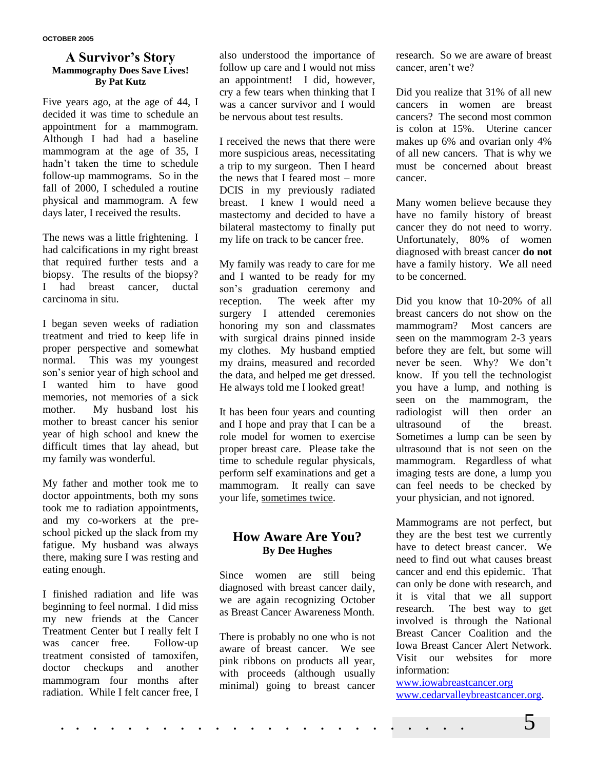#### **A Survivor's Story Mammography Does Save Lives! By Pat Kutz**

Five years ago, at the age of 44, I decided it was time to schedule an appointment for a mammogram. Although I had had a baseline mammogram at the age of 35, I hadn't taken the time to schedule follow-up mammograms. So in the fall of 2000, I scheduled a routine physical and mammogram. A few days later, I received the results.

The news was a little frightening. I had calcifications in my right breast that required further tests and a biopsy. The results of the biopsy? I had breast cancer, ductal carcinoma in situ.

I began seven weeks of radiation treatment and tried to keep life in proper perspective and somewhat normal. This was my youngest son's senior year of high school and I wanted him to have good memories, not memories of a sick mother. My husband lost his mother to breast cancer his senior year of high school and knew the difficult times that lay ahead, but my family was wonderful.

My father and mother took me to doctor appointments, both my sons took me to radiation appointments, and my co-workers at the preschool picked up the slack from my fatigue. My husband was always there, making sure I was resting and eating enough.

I finished radiation and life was beginning to feel normal. I did miss my new friends at the Cancer Treatment Center but I really felt I was cancer free. Follow-up treatment consisted of tamoxifen, doctor checkups and another mammogram four months after radiation. While I felt cancer free, I also understood the importance of follow up care and I would not miss an appointment! I did, however, cry a few tears when thinking that I was a cancer survivor and I would be nervous about test results.

I received the news that there were more suspicious areas, necessitating a trip to my surgeon. Then I heard the news that I feared most – more DCIS in my previously radiated breast. I knew I would need a mastectomy and decided to have a bilateral mastectomy to finally put my life on track to be cancer free.

My family was ready to care for me and I wanted to be ready for my son's graduation ceremony and reception. The week after my surgery I attended ceremonies honoring my son and classmates with surgical drains pinned inside my clothes. My husband emptied my drains, measured and recorded the data, and helped me get dressed. He always told me I looked great!

It has been four years and counting and I hope and pray that I can be a role model for women to exercise proper breast care. Please take the time to schedule regular physicals, perform self examinations and get a mammogram. It really can save your life, sometimes twice.

# **How Aware Are You? By Dee Hughes**

Since women are still being diagnosed with breast cancer daily, we are again recognizing October as Breast Cancer Awareness Month.

There is probably no one who is not aware of breast cancer. We see pink ribbons on products all year, with proceeds (although usually minimal) going to breast cancer research. So we are aware of breast cancer, aren't we?

Did you realize that 31% of all new cancers in women are breast cancers? The second most common is colon at 15%. Uterine cancer makes up 6% and ovarian only 4% of all new cancers. That is why we must be concerned about breast cancer.

Many women believe because they have no family history of breast cancer they do not need to worry. Unfortunately, 80% of women diagnosed with breast cancer **do not** have a family history. We all need to be concerned.

Did you know that 10-20% of all breast cancers do not show on the mammogram? Most cancers are seen on the mammogram 2-3 years before they are felt, but some will never be seen. Why? We don't know. If you tell the technologist you have a lump, and nothing is seen on the mammogram, the radiologist will then order an ultrasound of the breast. Sometimes a lump can be seen by ultrasound that is not seen on the mammogram. Regardless of what imaging tests are done, a lump you can feel needs to be checked by your physician, and not ignored.

Mammograms are not perfect, but they are the best test we currently have to detect breast cancer. We need to find out what causes breast cancer and end this epidemic. That can only be done with research, and it is vital that we all support research. The best way to get involved is through the National Breast Cancer Coalition and the Iowa Breast Cancer Alert Network. Visit our websites for more information:

[www.iowabreastcancer.org](http://www.iowabreastcancer.org/) [www.cedarvalleybreastcancer.org.](http://www.cedarvalleybreastcancer.org/)